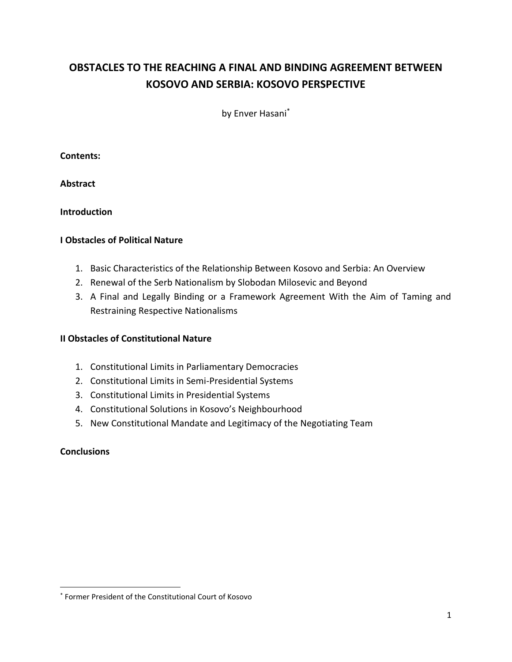# **OBSTACLES TO THE REACHING A FINAL AND BINDING AGREEMENT BETWEEN KOSOVO AND SERBIA: KOSOVO PERSPECTIVE**

by Enver Hasani\*

## **Contents:**

**Abstract**

# **Introduction**

# **I Obstacles of Political Nature**

- 1. Basic Characteristics of the Relationship Between Kosovo and Serbia: An Overview
- 2. Renewal of the Serb Nationalism by Slobodan Milosevic and Beyond
- 3. A Final and Legally Binding or a Framework Agreement With the Aim of Taming and Restraining Respective Nationalisms

# **II Obstacles of Constitutional Nature**

- 1. Constitutional Limits in Parliamentary Democracies
- 2. Constitutional Limits in Semi-Presidential Systems
- 3. Constitutional Limits in Presidential Systems
- 4. Constitutional Solutions in Kosovo's Neighbourhood
- 5. New Constitutional Mandate and Legitimacy of the Negotiating Team

## **Conclusions**

<sup>\*</sup> Former President of the Constitutional Court of Kosovo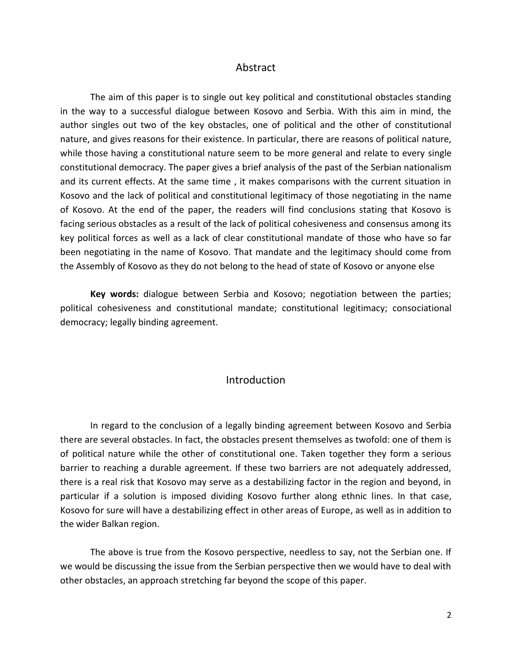### Abstract

The aim of this paper is to single out key political and constitutional obstacles standing in the way to a successful dialogue between Kosovo and Serbia. With this aim in mind, the author singles out two of the key obstacles, one of political and the other of constitutional nature, and gives reasons for their existence. In particular, there are reasons of political nature, while those having a constitutional nature seem to be more general and relate to every single constitutional democracy. The paper gives a brief analysis of the past of the Serbian nationalism and its current effects. At the same time , it makes comparisons with the current situation in Kosovo and the lack of political and constitutional legitimacy of those negotiating in the name of Kosovo. At the end of the paper, the readers will find conclusions stating that Kosovo is facing serious obstacles as a result of the lack of political cohesiveness and consensus among its key political forces as well as a lack of clear constitutional mandate of those who have so far been negotiating in the name of Kosovo. That mandate and the legitimacy should come from the Assembly of Kosovo as they do not belong to the head of state of Kosovo or anyone else

**Key words:** dialogue between Serbia and Kosovo; negotiation between the parties; political cohesiveness and constitutional mandate; constitutional legitimacy; consociational democracy; legally binding agreement.

## Introduction

In regard to the conclusion of a legally binding agreement between Kosovo and Serbia there are several obstacles. In fact, the obstacles present themselves as twofold: one of them is of political nature while the other of constitutional one. Taken together they form a serious barrier to reaching a durable agreement. If these two barriers are not adequately addressed, there is a real risk that Kosovo may serve as a destabilizing factor in the region and beyond, in particular if a solution is imposed dividing Kosovo further along ethnic lines. In that case, Kosovo for sure will have a destabilizing effect in other areas of Europe, as well as in addition to the wider Balkan region.

The above is true from the Kosovo perspective, needless to say, not the Serbian one. If we would be discussing the issue from the Serbian perspective then we would have to deal with other obstacles, an approach stretching far beyond the scope of this paper.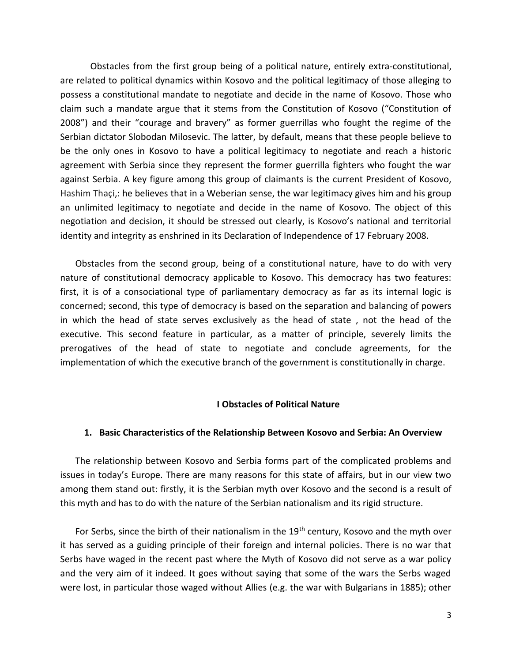Obstacles from the first group being of a political nature, entirely extra-constitutional, are related to political dynamics within Kosovo and the political legitimacy of those alleging to possess a constitutional mandate to negotiate and decide in the name of Kosovo. Those who claim such a mandate argue that it stems from the Constitution of Kosovo ("Constitution of 2008") and their "courage and bravery" as former guerrillas who fought the regime of the Serbian dictator Slobodan Milosevic. The latter, by default, means that these people believe to be the only ones in Kosovo to have a political legitimacy to negotiate and reach a historic agreement with Serbia since they represent the former guerrilla fighters who fought the war against Serbia. A key figure among this group of claimants is the current President of Kosovo, Hashim Thaçi,: he believes that in a Weberian sense, the war legitimacy gives him and his group an unlimited legitimacy to negotiate and decide in the name of Kosovo. The object of this negotiation and decision, it should be stressed out clearly, is Kosovo's national and territorial identity and integrity as enshrined in its Declaration of Independence of 17 February 2008.

Obstacles from the second group, being of a constitutional nature, have to do with very nature of constitutional democracy applicable to Kosovo. This democracy has two features: first, it is of a consociational type of parliamentary democracy as far as its internal logic is concerned; second, this type of democracy is based on the separation and balancing of powers in which the head of state serves exclusively as the head of state , not the head of the executive. This second feature in particular, as a matter of principle, severely limits the prerogatives of the head of state to negotiate and conclude agreements, for the implementation of which the executive branch of the government is constitutionally in charge.

### **I Obstacles of Political Nature**

#### **1. Basic Characteristics of the Relationship Between Kosovo and Serbia: An Overview**

The relationship between Kosovo and Serbia forms part of the complicated problems and issues in today's Europe. There are many reasons for this state of affairs, but in our view two among them stand out: firstly, it is the Serbian myth over Kosovo and the second is a result of this myth and has to do with the nature of the Serbian nationalism and its rigid structure.

For Serbs, since the birth of their nationalism in the 19<sup>th</sup> century, Kosovo and the myth over it has served as a guiding principle of their foreign and internal policies. There is no war that Serbs have waged in the recent past where the Myth of Kosovo did not serve as a war policy and the very aim of it indeed. It goes without saying that some of the wars the Serbs waged were lost, in particular those waged without Allies (e.g. the war with Bulgarians in 1885); other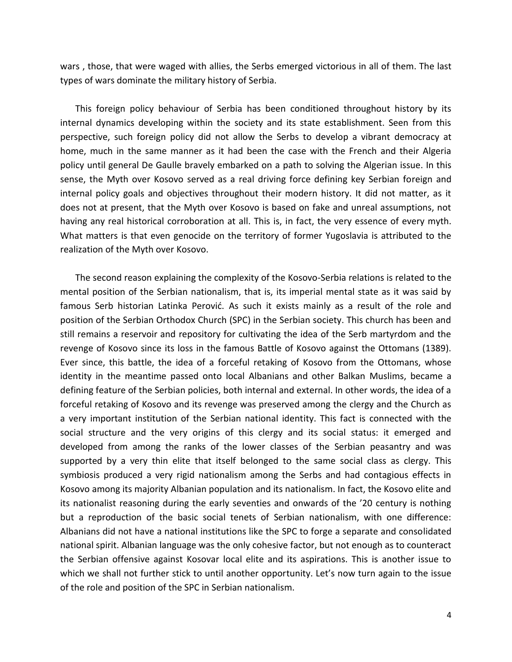wars , those, that were waged with allies, the Serbs emerged victorious in all of them. The last types of wars dominate the military history of Serbia.

This foreign policy behaviour of Serbia has been conditioned throughout history by its internal dynamics developing within the society and its state establishment. Seen from this perspective, such foreign policy did not allow the Serbs to develop a vibrant democracy at home, much in the same manner as it had been the case with the French and their Algeria policy until general De Gaulle bravely embarked on a path to solving the Algerian issue. In this sense, the Myth over Kosovo served as a real driving force defining key Serbian foreign and internal policy goals and objectives throughout their modern history. It did not matter, as it does not at present, that the Myth over Kosovo is based on fake and unreal assumptions, not having any real historical corroboration at all. This is, in fact, the very essence of every myth. What matters is that even genocide on the territory of former Yugoslavia is attributed to the realization of the Myth over Kosovo.

The second reason explaining the complexity of the Kosovo-Serbia relations is related to the mental position of the Serbian nationalism, that is, its imperial mental state as it was said by famous Serb historian Latinka Perović. As such it exists mainly as a result of the role and position of the Serbian Orthodox Church (SPC) in the Serbian society. This church has been and still remains a reservoir and repository for cultivating the idea of the Serb martyrdom and the revenge of Kosovo since its loss in the famous Battle of Kosovo against the Ottomans (1389). Ever since, this battle, the idea of a forceful retaking of Kosovo from the Ottomans, whose identity in the meantime passed onto local Albanians and other Balkan Muslims, became a defining feature of the Serbian policies, both internal and external. In other words, the idea of a forceful retaking of Kosovo and its revenge was preserved among the clergy and the Church as a very important institution of the Serbian national identity. This fact is connected with the social structure and the very origins of this clergy and its social status: it emerged and developed from among the ranks of the lower classes of the Serbian peasantry and was supported by a very thin elite that itself belonged to the same social class as clergy. This symbiosis produced a very rigid nationalism among the Serbs and had contagious effects in Kosovo among its majority Albanian population and its nationalism. In fact, the Kosovo elite and its nationalist reasoning during the early seventies and onwards of the '20 century is nothing but a reproduction of the basic social tenets of Serbian nationalism, with one difference: Albanians did not have a national institutions like the SPC to forge a separate and consolidated national spirit. Albanian language was the only cohesive factor, but not enough as to counteract the Serbian offensive against Kosovar local elite and its aspirations. This is another issue to which we shall not further stick to until another opportunity. Let's now turn again to the issue of the role and position of the SPC in Serbian nationalism.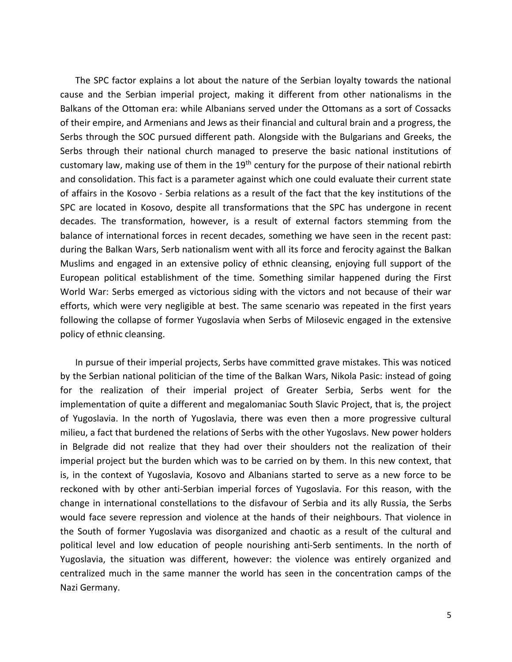The SPC factor explains a lot about the nature of the Serbian loyalty towards the national cause and the Serbian imperial project, making it different from other nationalisms in the Balkans of the Ottoman era: while Albanians served under the Ottomans as a sort of Cossacks of their empire, and Armenians and Jews as their financial and cultural brain and a progress, the Serbs through the SOC pursued different path. Alongside with the Bulgarians and Greeks, the Serbs through their national church managed to preserve the basic national institutions of customary law, making use of them in the 19<sup>th</sup> century for the purpose of their national rebirth and consolidation. This fact is a parameter against which one could evaluate their current state of affairs in the Kosovo - Serbia relations as a result of the fact that the key institutions of the SPC are located in Kosovo, despite all transformations that the SPC has undergone in recent decades. The transformation, however, is a result of external factors stemming from the balance of international forces in recent decades, something we have seen in the recent past: during the Balkan Wars, Serb nationalism went with all its force and ferocity against the Balkan Muslims and engaged in an extensive policy of ethnic cleansing, enjoying full support of the European political establishment of the time. Something similar happened during the First World War: Serbs emerged as victorious siding with the victors and not because of their war efforts, which were very negligible at best. The same scenario was repeated in the first years following the collapse of former Yugoslavia when Serbs of Milosevic engaged in the extensive policy of ethnic cleansing.

In pursue of their imperial projects, Serbs have committed grave mistakes. This was noticed by the Serbian national politician of the time of the Balkan Wars, Nikola Pasic: instead of going for the realization of their imperial project of Greater Serbia, Serbs went for the implementation of quite a different and megalomaniac South Slavic Project, that is, the project of Yugoslavia. In the north of Yugoslavia, there was even then a more progressive cultural milieu, a fact that burdened the relations of Serbs with the other Yugoslavs. New power holders in Belgrade did not realize that they had over their shoulders not the realization of their imperial project but the burden which was to be carried on by them. In this new context, that is, in the context of Yugoslavia, Kosovo and Albanians started to serve as a new force to be reckoned with by other anti-Serbian imperial forces of Yugoslavia. For this reason, with the change in international constellations to the disfavour of Serbia and its ally Russia, the Serbs would face severe repression and violence at the hands of their neighbours. That violence in the South of former Yugoslavia was disorganized and chaotic as a result of the cultural and political level and low education of people nourishing anti-Serb sentiments. In the north of Yugoslavia, the situation was different, however: the violence was entirely organized and centralized much in the same manner the world has seen in the concentration camps of the Nazi Germany.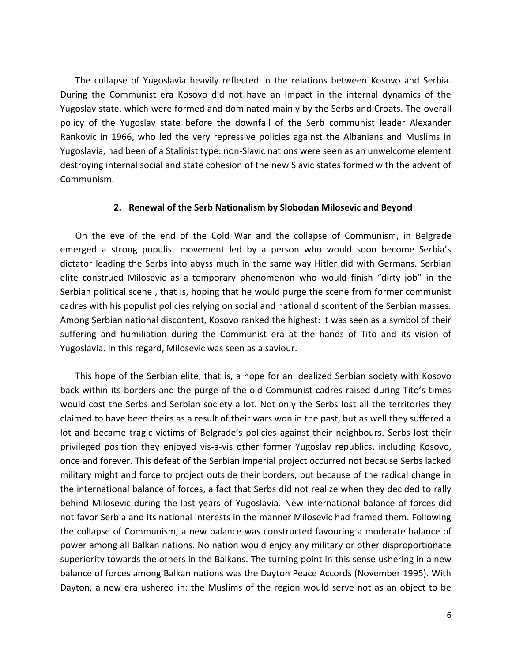The collapse of Yugoslavia heavily reflected in the relations between Kosovo and Serbia. During the Communist era Kosovo did not have an impact in the internal dynamics of the Yugoslav state, which were formed and dominated mainly by the Serbs and Croats. The overall policy of the Yugoslav state before the downfall of the Serb communist leader Alexander Rankovic in 1966, who led the very repressive policies against the Albanians and Muslims in Yugoslavia, had been of a Stalinist type: non-Slavic nations were seen as an unwelcome element destroying internal social and state cohesion of the new Slavic states formed with the advent of Communism.

#### **2. Renewal of the Serb Nationalism by Slobodan Milosevic and Beyond**

On the eve of the end of the Cold War and the collapse of Communism, in Belgrade emerged a strong populist movement led by a person who would soon become Serbia's dictator leading the Serbs into abyss much in the same way Hitler did with Germans. Serbian elite construed Milosevic as a temporary phenomenon who would finish "dirty job" in the Serbian political scene , that is, hoping that he would purge the scene from former communist cadres with his populist policies relying on social and national discontent of the Serbian masses. Among Serbian national discontent, Kosovo ranked the highest: it was seen as a symbol of their suffering and humiliation during the Communist era at the hands of Tito and its vision of Yugoslavia. In this regard, Milosevic was seen as a saviour.

This hope of the Serbian elite, that is, a hope for an idealized Serbian society with Kosovo back within its borders and the purge of the old Communist cadres raised during Tito's times would cost the Serbs and Serbian society a lot. Not only the Serbs lost all the territories they claimed to have been theirs as a result of their wars won in the past, but as well they suffered a lot and became tragic victims of Belgrade's policies against their neighbours. Serbs lost their privileged position they enjoyed vis-a-vis other former Yugoslav republics, including Kosovo, once and forever. This defeat of the Serbian imperial project occurred not because Serbs lacked military might and force to project outside their borders, but because of the radical change in the international balance of forces, a fact that Serbs did not realize when they decided to rally behind Milosevic during the last years of Yugoslavia. New international balance of forces did not favor Serbia and its national interests in the manner Milosevic had framed them. Following the collapse of Communism, a new balance was constructed favouring a moderate balance of power among all Balkan nations. No nation would enjoy any military or other disproportionate superiority towards the others in the Balkans. The turning point in this sense ushering in a new balance of forces among Balkan nations was the Dayton Peace Accords (November 1995). With Dayton, a new era ushered in: the Muslims of the region would serve not as an object to be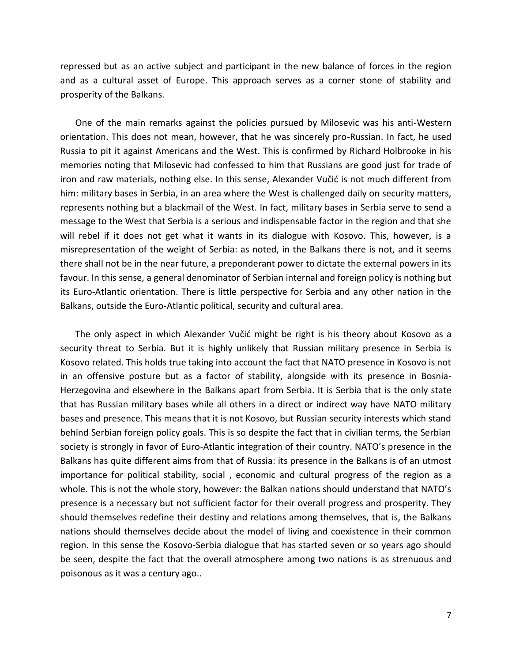repressed but as an active subject and participant in the new balance of forces in the region and as a cultural asset of Europe. This approach serves as a corner stone of stability and prosperity of the Balkans.

One of the main remarks against the policies pursued by Milosevic was his anti-Western orientation. This does not mean, however, that he was sincerely pro-Russian. In fact, he used Russia to pit it against Americans and the West. This is confirmed by Richard Holbrooke in his memories noting that Milosevic had confessed to him that Russians are good just for trade of iron and raw materials, nothing else. In this sense, Alexander Vučić is not much different from him: military bases in Serbia, in an area where the West is challenged daily on security matters, represents nothing but a blackmail of the West. In fact, military bases in Serbia serve to send a message to the West that Serbia is a serious and indispensable factor in the region and that she will rebel if it does not get what it wants in its dialogue with Kosovo. This, however, is a misrepresentation of the weight of Serbia: as noted, in the Balkans there is not, and it seems there shall not be in the near future, a preponderant power to dictate the external powers in its favour. In this sense, a general denominator of Serbian internal and foreign policy is nothing but its Euro-Atlantic orientation. There is little perspective for Serbia and any other nation in the Balkans, outside the Euro-Atlantic political, security and cultural area.

The only aspect in which Alexander Vučić might be right is his theory about Kosovo as a security threat to Serbia. But it is highly unlikely that Russian military presence in Serbia is Kosovo related. This holds true taking into account the fact that NATO presence in Kosovo is not in an offensive posture but as a factor of stability, alongside with its presence in Bosnia-Herzegovina and elsewhere in the Balkans apart from Serbia. It is Serbia that is the only state that has Russian military bases while all others in a direct or indirect way have NATO military bases and presence. This means that it is not Kosovo, but Russian security interests which stand behind Serbian foreign policy goals. This is so despite the fact that in civilian terms, the Serbian society is strongly in favor of Euro-Atlantic integration of their country. NATO's presence in the Balkans has quite different aims from that of Russia: its presence in the Balkans is of an utmost importance for political stability, social , economic and cultural progress of the region as a whole. This is not the whole story, however: the Balkan nations should understand that NATO's presence is a necessary but not sufficient factor for their overall progress and prosperity. They should themselves redefine their destiny and relations among themselves, that is, the Balkans nations should themselves decide about the model of living and coexistence in their common region. In this sense the Kosovo-Serbia dialogue that has started seven or so years ago should be seen, despite the fact that the overall atmosphere among two nations is as strenuous and poisonous as it was a century ago..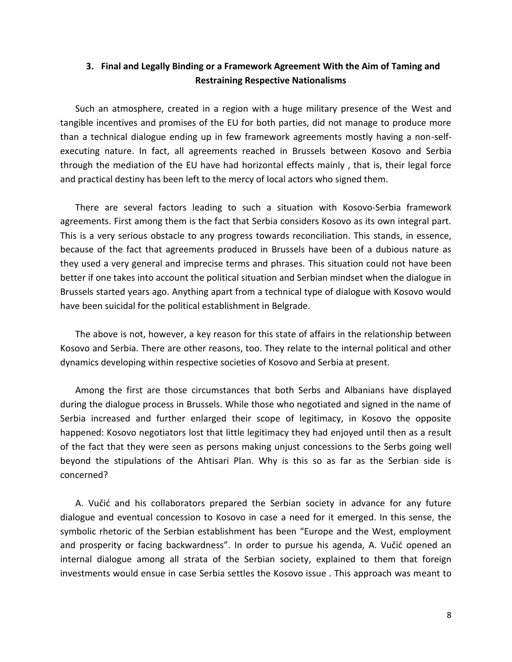# **3. Final and Legally Binding or a Framework Agreement With the Aim of Taming and Restraining Respective Nationalisms**

Such an atmosphere, created in a region with a huge military presence of the West and tangible incentives and promises of the EU for both parties, did not manage to produce more than a technical dialogue ending up in few framework agreements mostly having a non-selfexecuting nature. In fact, all agreements reached in Brussels between Kosovo and Serbia through the mediation of the EU have had horizontal effects mainly , that is, their legal force and practical destiny has been left to the mercy of local actors who signed them.

There are several factors leading to such a situation with Kosovo-Serbia framework agreements. First among them is the fact that Serbia considers Kosovo as its own integral part. This is a very serious obstacle to any progress towards reconciliation. This stands, in essence, because of the fact that agreements produced in Brussels have been of a dubious nature as they used a very general and imprecise terms and phrases. This situation could not have been better if one takes into account the political situation and Serbian mindset when the dialogue in Brussels started years ago. Anything apart from a technical type of dialogue with Kosovo would have been suicidal for the political establishment in Belgrade.

The above is not, however, a key reason for this state of affairs in the relationship between Kosovo and Serbia. There are other reasons, too. They relate to the internal political and other dynamics developing within respective societies of Kosovo and Serbia at present.

Among the first are those circumstances that both Serbs and Albanians have displayed during the dialogue process in Brussels. While those who negotiated and signed in the name of Serbia increased and further enlarged their scope of legitimacy, in Kosovo the opposite happened: Kosovo negotiators lost that little legitimacy they had enjoyed until then as a result of the fact that they were seen as persons making unjust concessions to the Serbs going well beyond the stipulations of the Ahtisari Plan. Why is this so as far as the Serbian side is concerned?

A. Vučić and his collaborators prepared the Serbian society in advance for any future dialogue and eventual concession to Kosovo in case a need for it emerged. In this sense, the symbolic rhetoric of the Serbian establishment has been "Europe and the West, employment and prosperity or facing backwardness". In order to pursue his agenda, A. Vučić opened an internal dialogue among all strata of the Serbian society, explained to them that foreign investments would ensue in case Serbia settles the Kosovo issue . This approach was meant to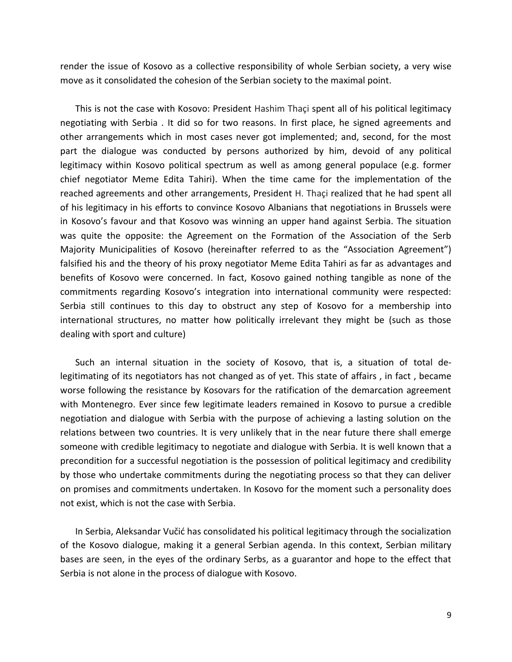render the issue of Kosovo as a collective responsibility of whole Serbian society, a very wise move as it consolidated the cohesion of the Serbian society to the maximal point.

This is not the case with Kosovo: President Hashim Thaçi spent all of his political legitimacy negotiating with Serbia . It did so for two reasons. In first place, he signed agreements and other arrangements which in most cases never got implemented; and, second, for the most part the dialogue was conducted by persons authorized by him, devoid of any political legitimacy within Kosovo political spectrum as well as among general populace (e.g. former chief negotiator Meme Edita Tahiri). When the time came for the implementation of the reached agreements and other arrangements, President H. Thaçi realized that he had spent all of his legitimacy in his efforts to convince Kosovo Albanians that negotiations in Brussels were in Kosovo's favour and that Kosovo was winning an upper hand against Serbia. The situation was quite the opposite: the Agreement on the Formation of the Association of the Serb Majority Municipalities of Kosovo (hereinafter referred to as the "Association Agreement") falsified his and the theory of his proxy negotiator Meme Edita Tahiri as far as advantages and benefits of Kosovo were concerned. In fact, Kosovo gained nothing tangible as none of the commitments regarding Kosovo's integration into international community were respected: Serbia still continues to this day to obstruct any step of Kosovo for a membership into international structures, no matter how politically irrelevant they might be (such as those dealing with sport and culture)

Such an internal situation in the society of Kosovo, that is, a situation of total delegitimating of its negotiators has not changed as of yet. This state of affairs , in fact , became worse following the resistance by Kosovars for the ratification of the demarcation agreement with Montenegro. Ever since few legitimate leaders remained in Kosovo to pursue a credible negotiation and dialogue with Serbia with the purpose of achieving a lasting solution on the relations between two countries. It is very unlikely that in the near future there shall emerge someone with credible legitimacy to negotiate and dialogue with Serbia. It is well known that a precondition for a successful negotiation is the possession of political legitimacy and credibility by those who undertake commitments during the negotiating process so that they can deliver on promises and commitments undertaken. In Kosovo for the moment such a personality does not exist, which is not the case with Serbia.

In Serbia, Aleksandar Vučić has consolidated his political legitimacy through the socialization of the Kosovo dialogue, making it a general Serbian agenda. In this context, Serbian military bases are seen, in the eyes of the ordinary Serbs, as a guarantor and hope to the effect that Serbia is not alone in the process of dialogue with Kosovo.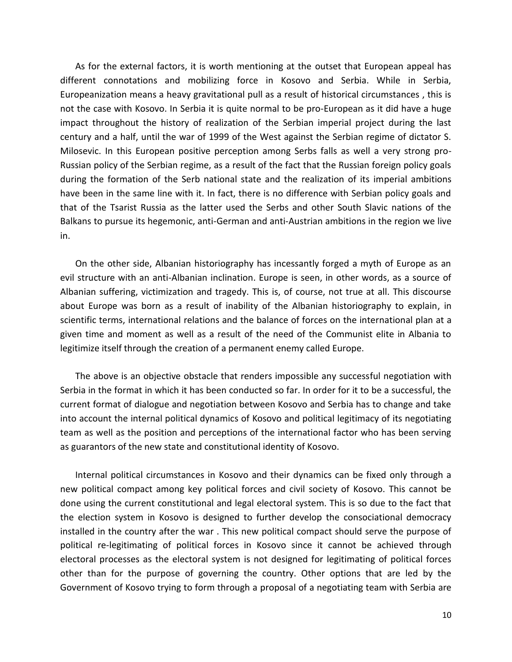As for the external factors, it is worth mentioning at the outset that European appeal has different connotations and mobilizing force in Kosovo and Serbia. While in Serbia, Europeanization means a heavy gravitational pull as a result of historical circumstances , this is not the case with Kosovo. In Serbia it is quite normal to be pro-European as it did have a huge impact throughout the history of realization of the Serbian imperial project during the last century and a half, until the war of 1999 of the West against the Serbian regime of dictator S. Milosevic. In this European positive perception among Serbs falls as well a very strong pro-Russian policy of the Serbian regime, as a result of the fact that the Russian foreign policy goals during the formation of the Serb national state and the realization of its imperial ambitions have been in the same line with it. In fact, there is no difference with Serbian policy goals and that of the Tsarist Russia as the latter used the Serbs and other South Slavic nations of the Balkans to pursue its hegemonic, anti-German and anti-Austrian ambitions in the region we live in.

On the other side, Albanian historiography has incessantly forged a myth of Europe as an evil structure with an anti-Albanian inclination. Europe is seen, in other words, as a source of Albanian suffering, victimization and tragedy. This is, of course, not true at all. This discourse about Europe was born as a result of inability of the Albanian historiography to explain, in scientific terms, international relations and the balance of forces on the international plan at a given time and moment as well as a result of the need of the Communist elite in Albania to legitimize itself through the creation of a permanent enemy called Europe.

The above is an objective obstacle that renders impossible any successful negotiation with Serbia in the format in which it has been conducted so far. In order for it to be a successful, the current format of dialogue and negotiation between Kosovo and Serbia has to change and take into account the internal political dynamics of Kosovo and political legitimacy of its negotiating team as well as the position and perceptions of the international factor who has been serving as guarantors of the new state and constitutional identity of Kosovo.

Internal political circumstances in Kosovo and their dynamics can be fixed only through a new political compact among key political forces and civil society of Kosovo. This cannot be done using the current constitutional and legal electoral system. This is so due to the fact that the election system in Kosovo is designed to further develop the consociational democracy installed in the country after the war . This new political compact should serve the purpose of political re-legitimating of political forces in Kosovo since it cannot be achieved through electoral processes as the electoral system is not designed for legitimating of political forces other than for the purpose of governing the country. Other options that are led by the Government of Kosovo trying to form through a proposal of a negotiating team with Serbia are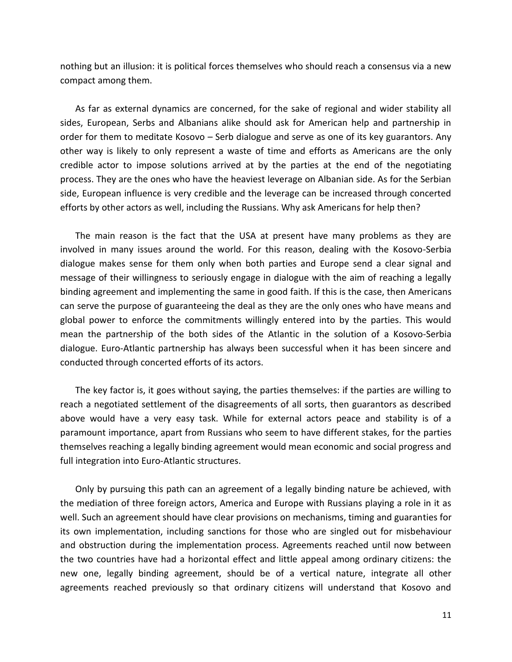nothing but an illusion: it is political forces themselves who should reach a consensus via a new compact among them.

As far as external dynamics are concerned, for the sake of regional and wider stability all sides, European, Serbs and Albanians alike should ask for American help and partnership in order for them to meditate Kosovo – Serb dialogue and serve as one of its key guarantors. Any other way is likely to only represent a waste of time and efforts as Americans are the only credible actor to impose solutions arrived at by the parties at the end of the negotiating process. They are the ones who have the heaviest leverage on Albanian side. As for the Serbian side, European influence is very credible and the leverage can be increased through concerted efforts by other actors as well, including the Russians. Why ask Americans for help then?

The main reason is the fact that the USA at present have many problems as they are involved in many issues around the world. For this reason, dealing with the Kosovo-Serbia dialogue makes sense for them only when both parties and Europe send a clear signal and message of their willingness to seriously engage in dialogue with the aim of reaching a legally binding agreement and implementing the same in good faith. If this is the case, then Americans can serve the purpose of guaranteeing the deal as they are the only ones who have means and global power to enforce the commitments willingly entered into by the parties. This would mean the partnership of the both sides of the Atlantic in the solution of a Kosovo-Serbia dialogue. Euro-Atlantic partnership has always been successful when it has been sincere and conducted through concerted efforts of its actors.

The key factor is, it goes without saying, the parties themselves: if the parties are willing to reach a negotiated settlement of the disagreements of all sorts, then guarantors as described above would have a very easy task. While for external actors peace and stability is of a paramount importance, apart from Russians who seem to have different stakes, for the parties themselves reaching a legally binding agreement would mean economic and social progress and full integration into Euro-Atlantic structures.

Only by pursuing this path can an agreement of a legally binding nature be achieved, with the mediation of three foreign actors, America and Europe with Russians playing a role in it as well. Such an agreement should have clear provisions on mechanisms, timing and guaranties for its own implementation, including sanctions for those who are singled out for misbehaviour and obstruction during the implementation process. Agreements reached until now between the two countries have had a horizontal effect and little appeal among ordinary citizens: the new one, legally binding agreement, should be of a vertical nature, integrate all other agreements reached previously so that ordinary citizens will understand that Kosovo and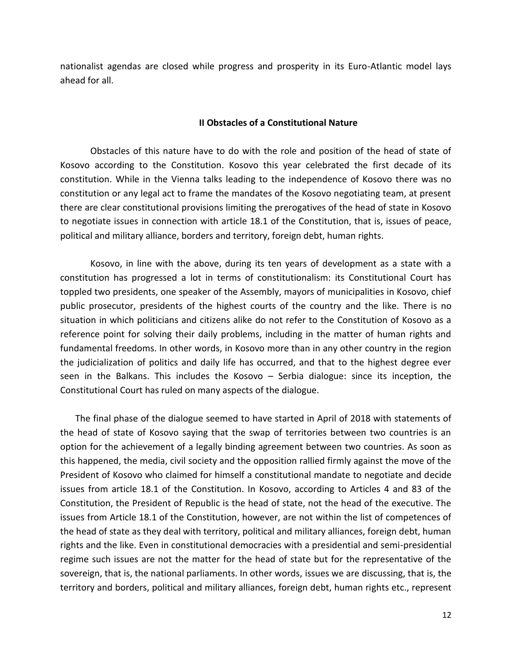nationalist agendas are closed while progress and prosperity in its Euro-Atlantic model lays ahead for all.

#### **II Obstacles of a Constitutional Nature**

Obstacles of this nature have to do with the role and position of the head of state of Kosovo according to the Constitution. Kosovo this year celebrated the first decade of its constitution. While in the Vienna talks leading to the independence of Kosovo there was no constitution or any legal act to frame the mandates of the Kosovo negotiating team, at present there are clear constitutional provisions limiting the prerogatives of the head of state in Kosovo to negotiate issues in connection with article 18.1 of the Constitution, that is, issues of peace, political and military alliance, borders and territory, foreign debt, human rights.

Kosovo, in line with the above, during its ten years of development as a state with a constitution has progressed a lot in terms of constitutionalism: its Constitutional Court has toppled two presidents, one speaker of the Assembly, mayors of municipalities in Kosovo, chief public prosecutor, presidents of the highest courts of the country and the like. There is no situation in which politicians and citizens alike do not refer to the Constitution of Kosovo as a reference point for solving their daily problems, including in the matter of human rights and fundamental freedoms. In other words, in Kosovo more than in any other country in the region the judicialization of politics and daily life has occurred, and that to the highest degree ever seen in the Balkans. This includes the Kosovo – Serbia dialogue: since its inception, the Constitutional Court has ruled on many aspects of the dialogue.

The final phase of the dialogue seemed to have started in April of 2018 with statements of the head of state of Kosovo saying that the swap of territories between two countries is an option for the achievement of a legally binding agreement between two countries. As soon as this happened, the media, civil society and the opposition rallied firmly against the move of the President of Kosovo who claimed for himself a constitutional mandate to negotiate and decide issues from article 18.1 of the Constitution. In Kosovo, according to Articles 4 and 83 of the Constitution, the President of Republic is the head of state, not the head of the executive. The issues from Article 18.1 of the Constitution, however, are not within the list of competences of the head of state as they deal with territory, political and military alliances, foreign debt, human rights and the like. Even in constitutional democracies with a presidential and semi-presidential regime such issues are not the matter for the head of state but for the representative of the sovereign, that is, the national parliaments. In other words, issues we are discussing, that is, the territory and borders, political and military alliances, foreign debt, human rights etc., represent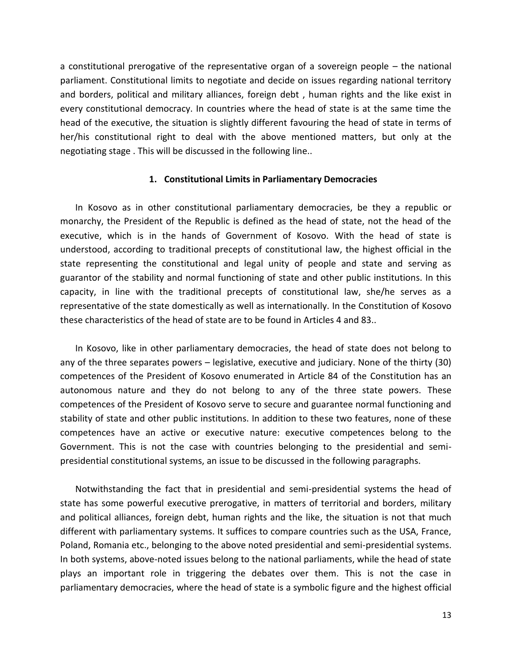a constitutional prerogative of the representative organ of a sovereign people – the national parliament. Constitutional limits to negotiate and decide on issues regarding national territory and borders, political and military alliances, foreign debt , human rights and the like exist in every constitutional democracy. In countries where the head of state is at the same time the head of the executive, the situation is slightly different favouring the head of state in terms of her/his constitutional right to deal with the above mentioned matters, but only at the negotiating stage . This will be discussed in the following line..

### **1. Constitutional Limits in Parliamentary Democracies**

In Kosovo as in other constitutional parliamentary democracies, be they a republic or monarchy, the President of the Republic is defined as the head of state, not the head of the executive, which is in the hands of Government of Kosovo. With the head of state is understood, according to traditional precepts of constitutional law, the highest official in the state representing the constitutional and legal unity of people and state and serving as guarantor of the stability and normal functioning of state and other public institutions. In this capacity, in line with the traditional precepts of constitutional law, she/he serves as a representative of the state domestically as well as internationally. In the Constitution of Kosovo these characteristics of the head of state are to be found in Articles 4 and 83..

In Kosovo, like in other parliamentary democracies, the head of state does not belong to any of the three separates powers – legislative, executive and judiciary. None of the thirty (30) competences of the President of Kosovo enumerated in Article 84 of the Constitution has an autonomous nature and they do not belong to any of the three state powers. These competences of the President of Kosovo serve to secure and guarantee normal functioning and stability of state and other public institutions. In addition to these two features, none of these competences have an active or executive nature: executive competences belong to the Government. This is not the case with countries belonging to the presidential and semipresidential constitutional systems, an issue to be discussed in the following paragraphs.

Notwithstanding the fact that in presidential and semi-presidential systems the head of state has some powerful executive prerogative, in matters of territorial and borders, military and political alliances, foreign debt, human rights and the like, the situation is not that much different with parliamentary systems. It suffices to compare countries such as the USA, France, Poland, Romania etc., belonging to the above noted presidential and semi-presidential systems. In both systems, above-noted issues belong to the national parliaments, while the head of state plays an important role in triggering the debates over them. This is not the case in parliamentary democracies, where the head of state is a symbolic figure and the highest official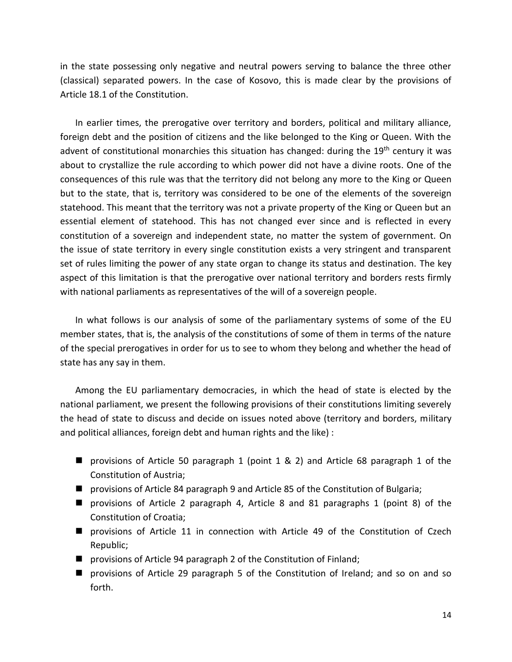in the state possessing only negative and neutral powers serving to balance the three other (classical) separated powers. In the case of Kosovo, this is made clear by the provisions of Article 18.1 of the Constitution.

In earlier times, the prerogative over territory and borders, political and military alliance, foreign debt and the position of citizens and the like belonged to the King or Queen. With the advent of constitutional monarchies this situation has changed: during the 19<sup>th</sup> century it was about to crystallize the rule according to which power did not have a divine roots. One of the consequences of this rule was that the territory did not belong any more to the King or Queen but to the state, that is, territory was considered to be one of the elements of the sovereign statehood. This meant that the territory was not a private property of the King or Queen but an essential element of statehood. This has not changed ever since and is reflected in every constitution of a sovereign and independent state, no matter the system of government. On the issue of state territory in every single constitution exists a very stringent and transparent set of rules limiting the power of any state organ to change its status and destination. The key aspect of this limitation is that the prerogative over national territory and borders rests firmly with national parliaments as representatives of the will of a sovereign people.

In what follows is our analysis of some of the parliamentary systems of some of the EU member states, that is, the analysis of the constitutions of some of them in terms of the nature of the special prerogatives in order for us to see to whom they belong and whether the head of state has any say in them.

Among the EU parliamentary democracies, in which the head of state is elected by the national parliament, we present the following provisions of their constitutions limiting severely the head of state to discuss and decide on issues noted above (territory and borders, military and political alliances, foreign debt and human rights and the like) :

- $\blacksquare$  provisions of Article 50 paragraph 1 (point 1 & 2) and Article 68 paragraph 1 of the Constitution of Austria;
- provisions of Article 84 paragraph 9 and Article 85 of the Constitution of Bulgaria;
- provisions of Article 2 paragraph 4, Article 8 and 81 paragraphs 1 (point 8) of the Constitution of Croatia;
- provisions of Article 11 in connection with Article 49 of the Constitution of Czech Republic;
- provisions of Article 94 paragraph 2 of the Constitution of Finland;
- provisions of Article 29 paragraph 5 of the Constitution of Ireland; and so on and so forth.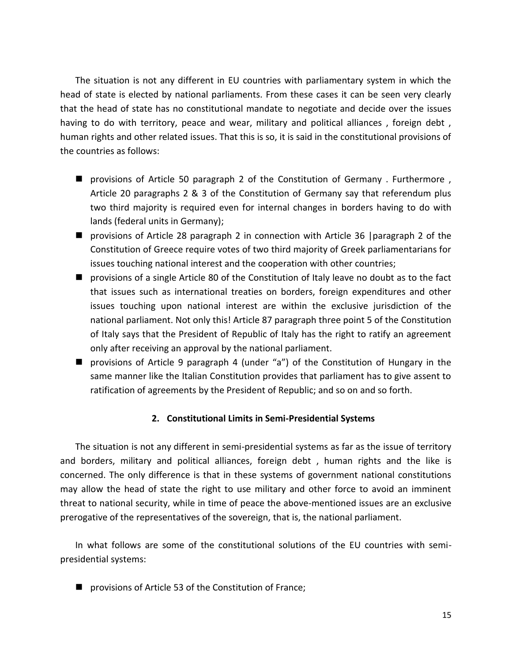The situation is not any different in EU countries with parliamentary system in which the head of state is elected by national parliaments. From these cases it can be seen very clearly that the head of state has no constitutional mandate to negotiate and decide over the issues having to do with territory, peace and wear, military and political alliances, foreign debt, human rights and other related issues. That this is so, it is said in the constitutional provisions of the countries as follows:

- provisions of Article 50 paragraph 2 of the Constitution of Germany . Furthermore, Article 20 paragraphs 2 & 3 of the Constitution of Germany say that referendum plus two third majority is required even for internal changes in borders having to do with lands (federal units in Germany);
- provisions of Article 28 paragraph 2 in connection with Article 36 |paragraph 2 of the Constitution of Greece require votes of two third majority of Greek parliamentarians for issues touching national interest and the cooperation with other countries;
- provisions of a single Article 80 of the Constitution of Italy leave no doubt as to the fact that issues such as international treaties on borders, foreign expenditures and other issues touching upon national interest are within the exclusive jurisdiction of the national parliament. Not only this! Article 87 paragraph three point 5 of the Constitution of Italy says that the President of Republic of Italy has the right to ratify an agreement only after receiving an approval by the national parliament.
- provisions of Article 9 paragraph 4 (under "a") of the Constitution of Hungary in the same manner like the Italian Constitution provides that parliament has to give assent to ratification of agreements by the President of Republic; and so on and so forth.

# **2. Constitutional Limits in Semi-Presidential Systems**

The situation is not any different in semi-presidential systems as far as the issue of territory and borders, military and political alliances, foreign debt , human rights and the like is concerned. The only difference is that in these systems of government national constitutions may allow the head of state the right to use military and other force to avoid an imminent threat to national security, while in time of peace the above-mentioned issues are an exclusive prerogative of the representatives of the sovereign, that is, the national parliament.

In what follows are some of the constitutional solutions of the EU countries with semipresidential systems:

■ provisions of Article 53 of the Constitution of France;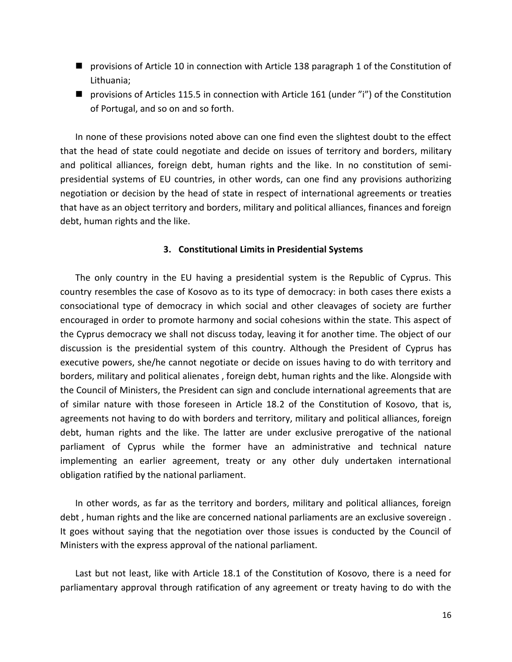- provisions of Article 10 in connection with Article 138 paragraph 1 of the Constitution of Lithuania;
- provisions of Articles 115.5 in connection with Article 161 (under "i") of the Constitution of Portugal, and so on and so forth.

In none of these provisions noted above can one find even the slightest doubt to the effect that the head of state could negotiate and decide on issues of territory and borders, military and political alliances, foreign debt, human rights and the like. In no constitution of semipresidential systems of EU countries, in other words, can one find any provisions authorizing negotiation or decision by the head of state in respect of international agreements or treaties that have as an object territory and borders, military and political alliances, finances and foreign debt, human rights and the like.

## **3. Constitutional Limits in Presidential Systems**

The only country in the EU having a presidential system is the Republic of Cyprus. This country resembles the case of Kosovo as to its type of democracy: in both cases there exists a consociational type of democracy in which social and other cleavages of society are further encouraged in order to promote harmony and social cohesions within the state. This aspect of the Cyprus democracy we shall not discuss today, leaving it for another time. The object of our discussion is the presidential system of this country. Although the President of Cyprus has executive powers, she/he cannot negotiate or decide on issues having to do with territory and borders, military and political alienates , foreign debt, human rights and the like. Alongside with the Council of Ministers, the President can sign and conclude international agreements that are of similar nature with those foreseen in Article 18.2 of the Constitution of Kosovo, that is, agreements not having to do with borders and territory, military and political alliances, foreign debt, human rights and the like. The latter are under exclusive prerogative of the national parliament of Cyprus while the former have an administrative and technical nature implementing an earlier agreement, treaty or any other duly undertaken international obligation ratified by the national parliament.

In other words, as far as the territory and borders, military and political alliances, foreign debt , human rights and the like are concerned national parliaments are an exclusive sovereign . It goes without saying that the negotiation over those issues is conducted by the Council of Ministers with the express approval of the national parliament.

Last but not least, like with Article 18.1 of the Constitution of Kosovo, there is a need for parliamentary approval through ratification of any agreement or treaty having to do with the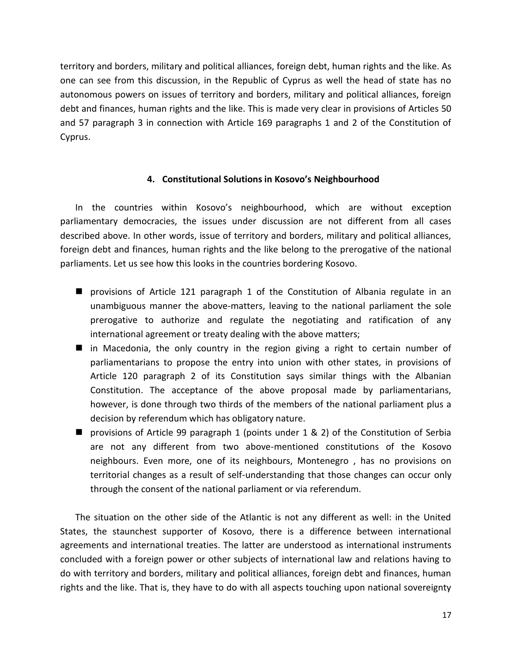territory and borders, military and political alliances, foreign debt, human rights and the like. As one can see from this discussion, in the Republic of Cyprus as well the head of state has no autonomous powers on issues of territory and borders, military and political alliances, foreign debt and finances, human rights and the like. This is made very clear in provisions of Articles 50 and 57 paragraph 3 in connection with Article 169 paragraphs 1 and 2 of the Constitution of Cyprus.

# **4. Constitutional Solutions in Kosovo's Neighbourhood**

In the countries within Kosovo's neighbourhood, which are without exception parliamentary democracies, the issues under discussion are not different from all cases described above. In other words, issue of territory and borders, military and political alliances, foreign debt and finances, human rights and the like belong to the prerogative of the national parliaments. Let us see how this looks in the countries bordering Kosovo.

- provisions of Article 121 paragraph 1 of the Constitution of Albania regulate in an unambiguous manner the above-matters, leaving to the national parliament the sole prerogative to authorize and regulate the negotiating and ratification of any international agreement or treaty dealing with the above matters;
- in Macedonia, the only country in the region giving a right to certain number of parliamentarians to propose the entry into union with other states, in provisions of Article 120 paragraph 2 of its Constitution says similar things with the Albanian Constitution. The acceptance of the above proposal made by parliamentarians, however, is done through two thirds of the members of the national parliament plus a decision by referendum which has obligatory nature.
- provisions of Article 99 paragraph 1 (points under 1 & 2) of the Constitution of Serbia are not any different from two above-mentioned constitutions of the Kosovo neighbours. Even more, one of its neighbours, Montenegro , has no provisions on territorial changes as a result of self-understanding that those changes can occur only through the consent of the national parliament or via referendum.

The situation on the other side of the Atlantic is not any different as well: in the United States, the staunchest supporter of Kosovo, there is a difference between international agreements and international treaties. The latter are understood as international instruments concluded with a foreign power or other subjects of international law and relations having to do with territory and borders, military and political alliances, foreign debt and finances, human rights and the like. That is, they have to do with all aspects touching upon national sovereignty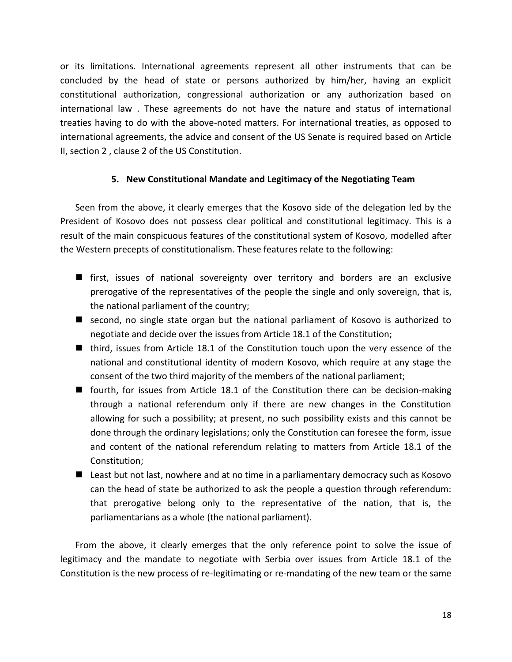or its limitations. International agreements represent all other instruments that can be concluded by the head of state or persons authorized by him/her, having an explicit constitutional authorization, congressional authorization or any authorization based on international law . These agreements do not have the nature and status of international treaties having to do with the above-noted matters. For international treaties, as opposed to international agreements, the advice and consent of the US Senate is required based on Article II, section 2 , clause 2 of the US Constitution.

# **5. New Constitutional Mandate and Legitimacy of the Negotiating Team**

Seen from the above, it clearly emerges that the Kosovo side of the delegation led by the President of Kosovo does not possess clear political and constitutional legitimacy. This is a result of the main conspicuous features of the constitutional system of Kosovo, modelled after the Western precepts of constitutionalism. These features relate to the following:

- first, issues of national sovereignty over territory and borders are an exclusive prerogative of the representatives of the people the single and only sovereign, that is, the national parliament of the country;
- second, no single state organ but the national parliament of Kosovo is authorized to negotiate and decide over the issues from Article 18.1 of the Constitution;
- third, issues from Article 18.1 of the Constitution touch upon the very essence of the national and constitutional identity of modern Kosovo, which require at any stage the consent of the two third majority of the members of the national parliament;
- fourth, for issues from Article 18.1 of the Constitution there can be decision-making through a national referendum only if there are new changes in the Constitution allowing for such a possibility; at present, no such possibility exists and this cannot be done through the ordinary legislations; only the Constitution can foresee the form, issue and content of the national referendum relating to matters from Article 18.1 of the Constitution;
- Least but not last, nowhere and at no time in a parliamentary democracy such as Kosovo can the head of state be authorized to ask the people a question through referendum: that prerogative belong only to the representative of the nation, that is, the parliamentarians as a whole (the national parliament).

From the above, it clearly emerges that the only reference point to solve the issue of legitimacy and the mandate to negotiate with Serbia over issues from Article 18.1 of the Constitution is the new process of re-legitimating or re-mandating of the new team or the same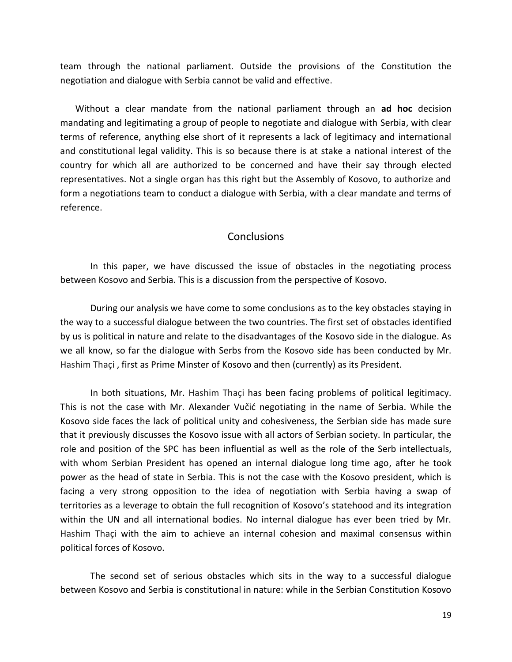team through the national parliament. Outside the provisions of the Constitution the negotiation and dialogue with Serbia cannot be valid and effective.

Without a clear mandate from the national parliament through an **ad hoc** decision mandating and legitimating a group of people to negotiate and dialogue with Serbia, with clear terms of reference, anything else short of it represents a lack of legitimacy and international and constitutional legal validity. This is so because there is at stake a national interest of the country for which all are authorized to be concerned and have their say through elected representatives. Not a single organ has this right but the Assembly of Kosovo, to authorize and form a negotiations team to conduct a dialogue with Serbia, with a clear mandate and terms of reference.

### **Conclusions**

In this paper, we have discussed the issue of obstacles in the negotiating process between Kosovo and Serbia. This is a discussion from the perspective of Kosovo.

During our analysis we have come to some conclusions as to the key obstacles staying in the way to a successful dialogue between the two countries. The first set of obstacles identified by us is political in nature and relate to the disadvantages of the Kosovo side in the dialogue. As we all know, so far the dialogue with Serbs from the Kosovo side has been conducted by Mr. Hashim Thaçi , first as Prime Minster of Kosovo and then (currently) as its President.

In both situations, Mr. Hashim Thaçi has been facing problems of political legitimacy. This is not the case with Mr. Alexander Vučić negotiating in the name of Serbia. While the Kosovo side faces the lack of political unity and cohesiveness, the Serbian side has made sure that it previously discusses the Kosovo issue with all actors of Serbian society. In particular, the role and position of the SPC has been influential as well as the role of the Serb intellectuals, with whom Serbian President has opened an internal dialogue long time ago, after he took power as the head of state in Serbia. This is not the case with the Kosovo president, which is facing a very strong opposition to the idea of negotiation with Serbia having a swap of territories as a leverage to obtain the full recognition of Kosovo's statehood and its integration within the UN and all international bodies. No internal dialogue has ever been tried by Mr. Hashim Thaçi with the aim to achieve an internal cohesion and maximal consensus within political forces of Kosovo.

The second set of serious obstacles which sits in the way to a successful dialogue between Kosovo and Serbia is constitutional in nature: while in the Serbian Constitution Kosovo